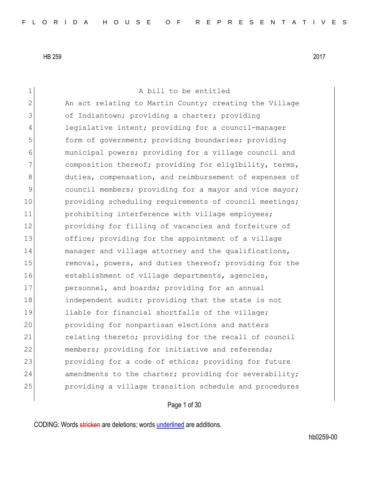1 a bill to be entitled 2 An act relating to Martin County; creating the Village 3 of Indiantown; providing a charter; providing 4 legislative intent; providing for a council-manager 5 **form of government;** providing boundaries; providing 6 municipal powers; providing for a village council and 7 composition thereof; providing for eligibility, terms, 8 duties, compensation, and reimbursement of expenses of 9 council members; providing for a mayor and vice mayor; 10 providing scheduling requirements of council meetings; 11 prohibiting interference with village employees; 12 **providing for filling of vacancies and forfeiture of** 13 office; providing for the appointment of a village 14 manager and village attorney and the qualifications, 15 15 removal, powers, and duties thereof; providing for the 16 establishment of village departments, agencies, 17 personnel, and boards; providing for an annual 18 **independent audit;** providing that the state is not 19 liable for financial shortfalls of the village; 20 providing for nonpartisan elections and matters 21 relating thereto; providing for the recall of council 22 members; providing for initiative and referenda; 23 providing for a code of ethics; providing for future 24 amendments to the charter; providing for severability; 25 providing a village transition schedule and procedures

Page 1 of 30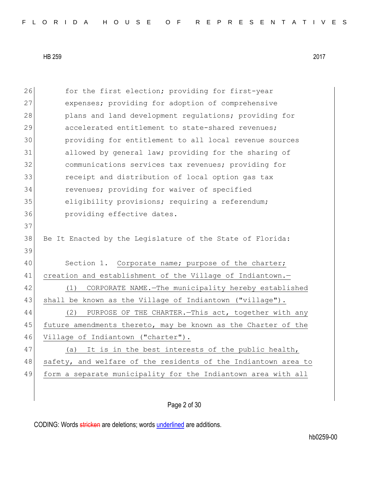26 for the first election; providing for first-year 27 expenses; providing for adoption of comprehensive 28 plans and land development regulations; providing for 29 accelerated entitlement to state-shared revenues; 30 providing for entitlement to all local revenue sources 31 allowed by general law; providing for the sharing of 32 communications services tax revenues; providing for 33 **123** receipt and distribution of local option gas tax 34 revenues; providing for waiver of specified 35 eligibility provisions; requiring a referendum; 36 **providing effective dates.** 37 38 Be It Enacted by the Legislature of the State of Florida: 39 40 Section 1. Corporate name; purpose of the charter; 41 creation and establishment of the Village of Indiantown.-42 (1) CORPORATE NAME.—The municipality hereby established 43 shall be known as the Village of Indiantown ("village"). 44 (2) PURPOSE OF THE CHARTER.—This act, together with any 45 future amendments thereto, may be known as the Charter of the 46 Village of Indiantown ("charter"). 47 (a) It is in the best interests of the public health, 48 safety, and welfare of the residents of the Indiantown area to 49 form a separate municipality for the Indiantown area with all

Page 2 of 30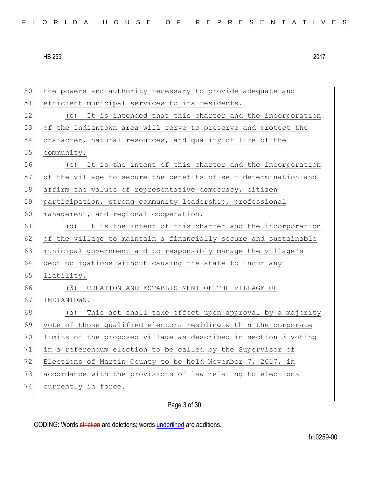| 50 | the powers and authority necessary to provide adequate and      |
|----|-----------------------------------------------------------------|
| 51 | efficient municipal services to its residents.                  |
| 52 | It is intended that this charter and the incorporation<br>(b)   |
| 53 | of the Indiantown area will serve to preserve and protect the   |
| 54 | character, natural resources, and quality of life of the        |
| 55 | community.                                                      |
| 56 | (c) It is the intent of this charter and the incorporation      |
| 57 | of the village to secure the benefits of self-determination and |
| 58 | affirm the values of representative democracy, citizen          |
| 59 | participation, strong community leadership, professional        |
| 60 | management, and regional cooperation.                           |
| 61 | It is the intent of this charter and the incorporation<br>(d)   |
| 62 | of the village to maintain a financially secure and sustainable |
| 63 | municipal government and to responsibly manage the village's    |
| 64 | debt obligations without causing the state to incur any         |
| 65 | liability.                                                      |
| 66 | (3)<br>CREATION AND ESTABLISHMENT OF THE VILLAGE OF             |
| 67 | INDIANTOWN.-                                                    |
| 68 | This act shall take effect upon approval by a majority<br>(a)   |
| 69 | vote of those qualified electors residing within the corporate  |
| 70 | limits of the proposed village as described in section 3 voting |
| 71 | in a referendum election to be called by the Supervisor of      |
| 72 | Elections of Martin County to be held November 7, 2017, in      |
| 73 | accordance with the provisions of law relating to elections     |
| 74 | currently in force.                                             |
|    |                                                                 |

Page 3 of 30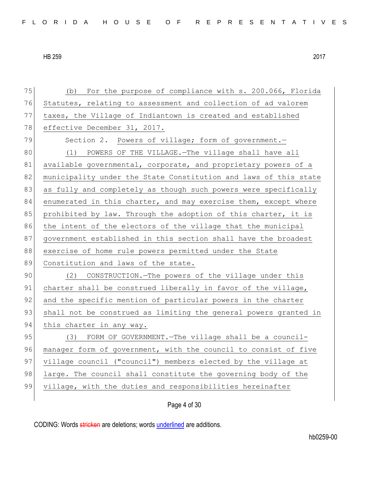75 (b) For the purpose of compliance with s. 200.066, Florida 76 Statutes, relating to assessment and collection of ad valorem 77 taxes, the Village of Indiantown is created and established 78 effective December 31, 2017. 79 Section 2. Powers of village; form of government. 80 (1) POWERS OF THE VILLAGE. - The village shall have all 81 available governmental, corporate, and proprietary powers of a 82 municipality under the State Constitution and laws of this state 83 as fully and completely as though such powers were specifically 84 enumerated in this charter, and may exercise them, except where 85 prohibited by law. Through the adoption of this charter, it is 86 the intent of the electors of the village that the municipal 87 government established in this section shall have the broadest 88 exercise of home rule powers permitted under the State 89 Constitution and laws of the state. 90 (2) CONSTRUCTION.—The powers of the village under this 91 charter shall be construed liberally in favor of the village, 92 and the specific mention of particular powers in the charter 93 shall not be construed as limiting the general powers granted in 94 this charter in any way. 95 (3) FORM OF GOVERNMENT. The village shall be a council-96 manager form of government, with the council to consist of five 97 village council ("council") members elected by the village at 98 large. The council shall constitute the governing body of the 99 village, with the duties and responsibilities hereinafter

Page 4 of 30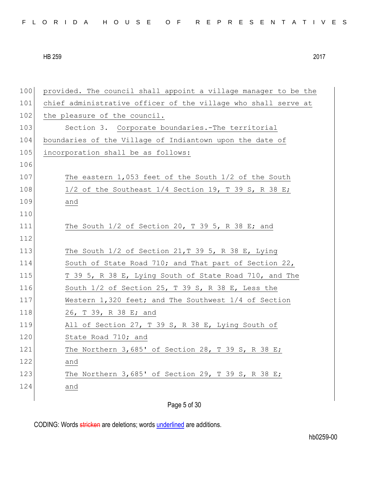| 100 | provided. The council shall appoint a village manager to be the |
|-----|-----------------------------------------------------------------|
| 101 | chief administrative officer of the village who shall serve at  |
| 102 | the pleasure of the council.                                    |
| 103 | Section 3. Corporate boundaries.-The territorial                |
| 104 | boundaries of the Village of Indiantown upon the date of        |
| 105 | incorporation shall be as follows:                              |
| 106 |                                                                 |
| 107 | The eastern $1,053$ feet of the South $1/2$ of the South        |
| 108 | $1/2$ of the Southeast $1/4$ Section 19, T 39 S, R 38 E;        |
| 109 | and                                                             |
| 110 |                                                                 |
| 111 | The South $1/2$ of Section 20, T 39 5, R 38 E; and              |
| 112 |                                                                 |
| 113 | The South $1/2$ of Section $21, T$ 39 5, R 38 E, Lying          |
| 114 | South of State Road 710; and That part of Section 22,           |
| 115 | T 39 5, R 38 E, Lying South of State Road 710, and The          |
| 116 | South $1/2$ of Section 25, T 39 S, R 38 E, Less the             |
| 117 | Western 1,320 feet; and The Southwest 1/4 of Section            |
| 118 | 26, T 39, R 38 E; and                                           |
| 119 | All of Section 27, T 39 S, R 38 E, Lying South of               |
| 120 | State Road 710; and                                             |
| 121 | The Northern $3,685'$ of Section 28, T 39 S, R 38 E;            |
| 122 | and                                                             |
| 123 | The Northern $3,685'$ of Section 29, T 39 S, R 38 E;            |
| 124 | and                                                             |
|     | $   -$                                                          |

Page 5 of 30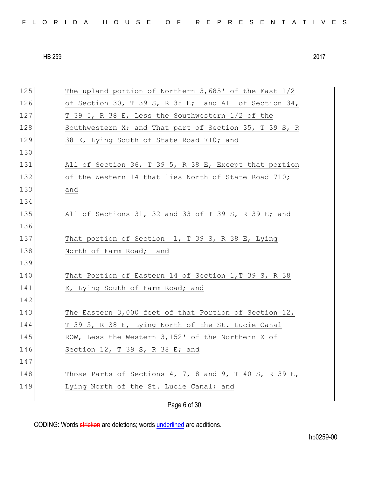| FLORIDA HOUSE OF REPRESENTATIVES |  |
|----------------------------------|--|
|----------------------------------|--|

| 125 | The upland portion of Northern 3,685' of the East 1/2    |
|-----|----------------------------------------------------------|
| 126 | of Section 30, T 39 S, R 38 E; and All of Section 34,    |
| 127 | T 39 5, R 38 E, Less the Southwestern 1/2 of the         |
| 128 | Southwestern X; and That part of Section 35, T 39 S, R   |
| 129 | 38 E, Lying South of State Road 710; and                 |
| 130 |                                                          |
| 131 | All of Section 36, T 39 5, R 38 E, Except that portion   |
| 132 | of the Western 14 that lies North of State Road 710;     |
| 133 | and                                                      |
| 134 |                                                          |
| 135 | All of Sections 31, 32 and 33 of T 39 S, R 39 E; and     |
| 136 |                                                          |
| 137 | That portion of Section 1, T 39 S, R 38 E, Lying         |
| 138 | North of Farm Road; and                                  |
| 139 |                                                          |
| 140 | That Portion of Eastern 14 of Section $1, T$ 39 S, R 38  |
| 141 | E, Lying South of Farm Road; and                         |
| 142 |                                                          |
| 143 | The Eastern 3,000 feet of that Portion of Section $12$ , |
| 144 | T 39 5, R 38 E, Lying North of the St. Lucie Canal       |
| 145 | ROW, Less the Western 3,152' of the Northern X of        |
| 146 | Section 12, T 39 S, R 38 E; and                          |
| 147 |                                                          |
| 148 | Those Parts of Sections 4, 7, 8 and 9, T 40 S, R 39 E,   |
| 149 | Lying North of the St. Lucie Canal; and                  |
|     |                                                          |
|     | Page 6 of 30                                             |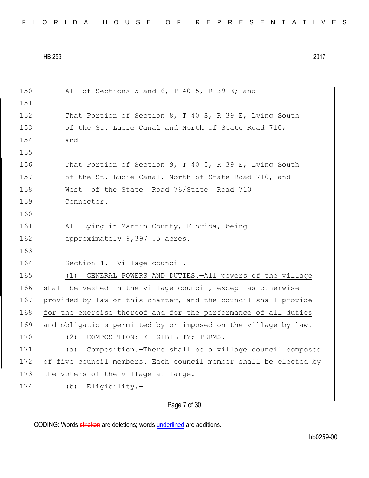150 All of Sections 5 and 6, T 40 5, R 39 E; and 151 152 That Portion of Section 8, T 40 S, R 39 E, Lying South 153 of the St. Lucie Canal and North of State Road 710; 154 and 155 156 That Portion of Section 9, T 40 5, R 39 E, Lying South 157 of the St. Lucie Canal, North of State Road 710, and 158 West of the State Road 76/State Road 710 159 Connector. 160 161 All Lying in Martin County, Florida, being 162 approximately 9,397 .5 acres. 163 164 Section 4. Village council.-165 (1) GENERAL POWERS AND DUTIES.—All powers of the village 166 shall be vested in the village council, except as otherwise 167 provided by law or this charter, and the council shall provide 168 for the exercise thereof and for the performance of all duties 169 and obligations permitted by or imposed on the village by law. 170 (2) COMPOSITION; ELIGIBILITY; TERMS.-171 (a) Composition.—There shall be a village council composed 172 of five council members. Each council member shall be elected by 173 the voters of the village at large. 174 (b) Eligibility.-

## Page 7 of 30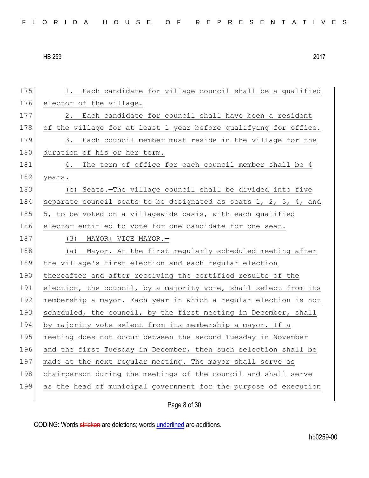| FLORIDA HOUSE OF REPRESENTATIVES |  |  |  |  |  |  |  |  |  |  |  |  |  |  |  |  |  |  |  |  |  |  |  |  |  |  |  |
|----------------------------------|--|--|--|--|--|--|--|--|--|--|--|--|--|--|--|--|--|--|--|--|--|--|--|--|--|--|--|
|----------------------------------|--|--|--|--|--|--|--|--|--|--|--|--|--|--|--|--|--|--|--|--|--|--|--|--|--|--|--|

| 175 | Each candidate for village council shall be a qualified<br>1.    |
|-----|------------------------------------------------------------------|
| 176 | elector of the village.                                          |
| 177 | Each candidate for council shall have been a resident<br>2.      |
| 178 | of the village for at least 1 year before qualifying for office. |
| 179 | Each council member must reside in the village for the<br>3.     |
| 180 | duration of his or her term.                                     |
| 181 | The term of office for each council member shall be 4<br>4.      |
| 182 | years.                                                           |
| 183 | (c) Seats.-The village council shall be divided into five        |
| 184 | separate council seats to be designated as seats 1, 2, 3, 4, and |
| 185 | 5, to be voted on a villagewide basis, with each qualified       |
| 186 | elector entitled to vote for one candidate for one seat.         |
| 187 | (3) MAYOR; VICE MAYOR.—                                          |
| 188 | (a) Mayor. - At the first regularly scheduled meeting after      |
| 189 | the village's first election and each regular election           |
| 190 | thereafter and after receiving the certified results of the      |
| 191 | election, the council, by a majority vote, shall select from its |
| 192 | membership a mayor. Each year in which a regular election is not |
| 193 | scheduled, the council, by the first meeting in December, shall  |
| 194 | by majority vote select from its membership a mayor. If a        |
| 195 | meeting does not occur between the second Tuesday in November    |
| 196 | and the first Tuesday in December, then such selection shall be  |
| 197 | made at the next regular meeting. The mayor shall serve as       |
| 198 | chairperson during the meetings of the council and shall serve   |
| 199 |                                                                  |
|     | as the head of municipal government for the purpose of execution |

Page 8 of 30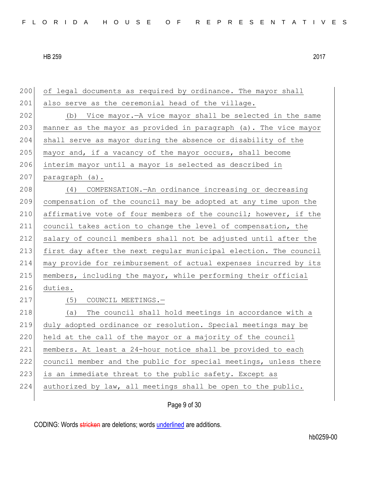| 200 | of legal documents as required by ordinance. The mayor shall     |
|-----|------------------------------------------------------------------|
| 201 | also serve as the ceremonial head of the village.                |
| 202 | (b) Vice mayor. - A vice mayor shall be selected in the same     |
| 203 | manner as the mayor as provided in paragraph (a). The vice mayor |
| 204 | shall serve as mayor during the absence or disability of the     |
| 205 | mayor and, if a vacancy of the mayor occurs, shall become        |
| 206 | interim mayor until a mayor is selected as described in          |
| 207 | paragraph (a).                                                   |
| 208 | COMPENSATION. An ordinance increasing or decreasing<br>(4)       |
| 209 | compensation of the council may be adopted at any time upon the  |
| 210 | affirmative vote of four members of the council; however, if the |
| 211 | council takes action to change the level of compensation, the    |
| 212 | salary of council members shall not be adjusted until after the  |
| 213 | first day after the next regular municipal election. The council |
| 214 | may provide for reimbursement of actual expenses incurred by its |
| 215 | members, including the mayor, while performing their official    |
| 216 | duties.                                                          |
| 217 | COUNCIL MEETINGS.-<br>(5)                                        |
| 218 | The council shall hold meetings in accordance with a<br>(a)      |
| 219 | duly adopted ordinance or resolution. Special meetings may be    |
| 220 | held at the call of the mayor or a majority of the council       |
| 221 | members. At least a 24-hour notice shall be provided to each     |
| 222 | council member and the public for special meetings, unless there |
| 223 | is an immediate threat to the public safety. Except as           |
| 224 | authorized by law, all meetings shall be open to the public.     |
|     |                                                                  |

Page 9 of 30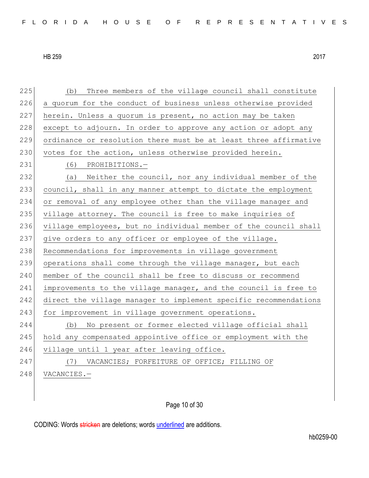225 (b) Three members of the village council shall constitute 226 a quorum for the conduct of business unless otherwise provided 227 herein. Unless a quorum is present, no action may be taken 228 except to adjourn. In order to approve any action or adopt any 229 ordinance or resolution there must be at least three affirmative 230 votes for the action, unless otherwise provided herein. 231 (6) PROHIBITIONS.— 232 (a) Neither the council, nor any individual member of the 233 council, shall in any manner attempt to dictate the employment 234 or removal of any employee other than the village manager and 235 village attorney. The council is free to make inquiries of 236 village employees, but no individual member of the council shall 237 give orders to any officer or employee of the village. 238 Recommendations for improvements in village government 239 operations shall come through the village manager, but each 240 member of the council shall be free to discuss or recommend 241 improvements to the village manager, and the council is free to 242 direct the village manager to implement specific recommendations 243 for improvement in village government operations. 244 (b) No present or former elected village official shall 245 hold any compensated appointive office or employment with the 246 village until 1 year after leaving office. 247 (7) VACANCIES; FORFEITURE OF OFFICE; FILLING OF 248 VACANCIES.-

Page 10 of 30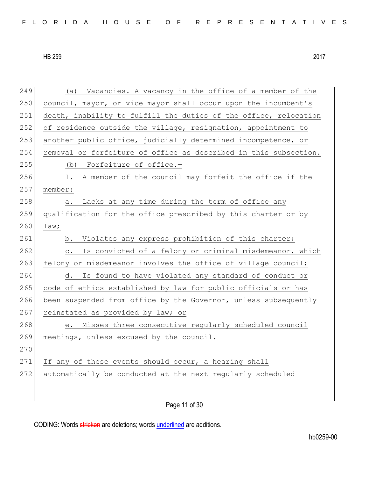249 (a) Vacancies.—A vacancy in the office of a member of the 250 council, mayor, or vice mayor shall occur upon the incumbent's 251 death, inability to fulfill the duties of the office, relocation 252 of residence outside the village, resignation, appointment to 253 another public office, judicially determined incompetence, or 254 removal or forfeiture of office as described in this subsection. 255 (b) Forfeiture of office.-256 1. A member of the council may forfeit the office if the 257 member: 258 a. Lacks at any time during the term of office any 259 qualification for the office prescribed by this charter or by 260 law; 261 b. Violates any express prohibition of this charter; 262 c. Is convicted of a felony or criminal misdemeanor, which 263 felony or misdemeanor involves the office of village council; 264 d. Is found to have violated any standard of conduct or 265 code of ethics established by law for public officials or has 266 been suspended from office by the Governor, unless subsequently 267 reinstated as provided by law; or 268 e. Misses three consecutive reqularly scheduled council 269 meetings, unless excused by the council. 270 271 If any of these events should occur, a hearing shall 272 automatically be conducted at the next regularly scheduled

Page 11 of 30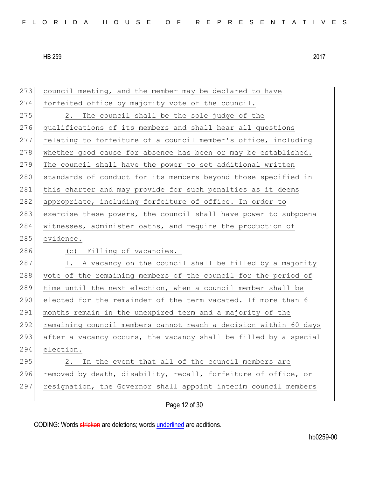| 273 | council meeting, and the member may be declared to have          |
|-----|------------------------------------------------------------------|
| 274 | forfeited office by majority vote of the council.                |
| 275 | The council shall be the sole judge of the<br>2.                 |
| 276 | qualifications of its members and shall hear all questions       |
| 277 | relating to forfeiture of a council member's office, including   |
| 278 | whether good cause for absence has been or may be established.   |
| 279 | The council shall have the power to set additional written       |
| 280 | standards of conduct for its members beyond those specified in   |
| 281 | this charter and may provide for such penalties as it deems      |
| 282 | appropriate, including forfeiture of office. In order to         |
| 283 | exercise these powers, the council shall have power to subpoena  |
| 284 | witnesses, administer oaths, and require the production of       |
| 285 | evidence.                                                        |
|     |                                                                  |
| 286 | (c) Filling of vacancies.-                                       |
| 287 | 1. A vacancy on the council shall be filled by a majority        |
| 288 | vote of the remaining members of the council for the period of   |
| 289 | time until the next election, when a council member shall be     |
| 290 | elected for the remainder of the term vacated. If more than 6    |
| 291 | months remain in the unexpired term and a majority of the        |
| 292 | remaining council members cannot reach a decision within 60 days |
| 293 | after a vacancy occurs, the vacancy shall be filled by a special |
| 294 | election.                                                        |
| 295 | In the event that all of the council members are<br>2.           |
| 296 | removed by death, disability, recall, forfeiture of office, or   |
| 297 | resignation, the Governor shall appoint interim council members  |

Page 12 of 30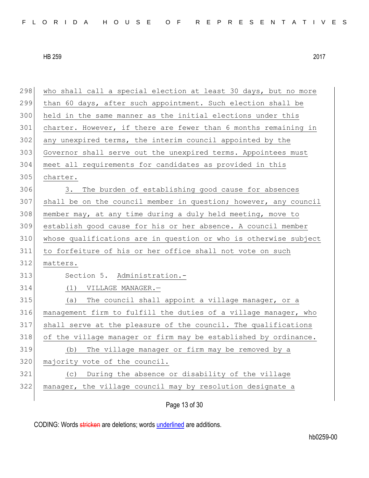| 298 | who shall call a special election at least 30 days, but no more  |
|-----|------------------------------------------------------------------|
| 299 | than 60 days, after such appointment. Such election shall be     |
| 300 | held in the same manner as the initial elections under this      |
| 301 | charter. However, if there are fewer than 6 months remaining in  |
| 302 | any unexpired terms, the interim council appointed by the        |
| 303 | Governor shall serve out the unexpired terms. Appointees must    |
| 304 | meet all requirements for candidates as provided in this         |
| 305 | charter.                                                         |
| 306 | The burden of establishing good cause for absences<br>3.         |
| 307 | shall be on the council member in question; however, any council |
| 308 | member may, at any time during a duly held meeting, move to      |
| 309 | establish good cause for his or her absence. A council member    |
| 310 | whose qualifications are in question or who is otherwise subject |
| 311 | to forfeiture of his or her office shall not vote on such        |
| 312 | matters.                                                         |
| 313 | Section 5. Administration.-                                      |
| 314 | (1) VILLAGE MANAGER.-                                            |
| 315 | The council shall appoint a village manager, or a<br>(a)         |
| 316 | management firm to fulfill the duties of a village manager, who  |
| 317 | shall serve at the pleasure of the council. The qualifications   |
| 318 | of the village manager or firm may be established by ordinance.  |
| 319 | The village manager or firm may be removed by a<br>(b)           |
| 320 | majority vote of the council.                                    |
| 321 | During the absence or disability of the village<br>(C)           |
| 322 |                                                                  |
|     | manager, the village council may by resolution designate a       |

Page 13 of 30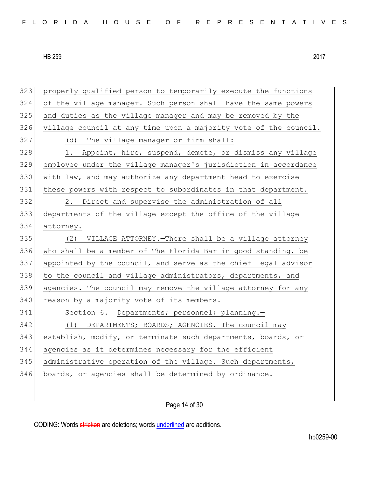properly qualified person to temporarily execute the functions of the village manager. Such person shall have the same powers and duties as the village manager and may be removed by the village council at any time upon a majority vote of the council. 327 (d) The village manager or firm shall: 328 1. Appoint, hire, suspend, demote, or dismiss any village employee under the village manager's jurisdiction in accordance with law, and may authorize any department head to exercise 331 these powers with respect to subordinates in that department. 2. Direct and supervise the administration of all departments of the village except the office of the village attorney. (2) VILLAGE ATTORNEY.—There shall be a village attorney who shall be a member of The Florida Bar in good standing, be appointed by the council, and serve as the chief legal advisor 338 to the council and village administrators, departments, and agencies. The council may remove the village attorney for any 340 reason by a majority vote of its members. 341 Section 6. Departments; personnel; planning.- (1) DEPARTMENTS; BOARDS; AGENCIES.—The council may establish, modify, or terminate such departments, boards, or agencies as it determines necessary for the efficient 345 administrative operation of the village. Such departments, 346 boards, or agencies shall be determined by ordinance.

Page 14 of 30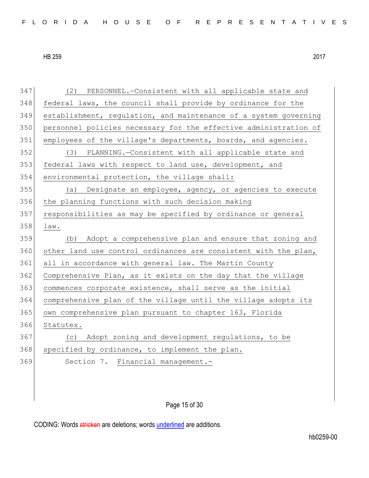(2) PERSONNEL.—Consistent with all applicable state and federal laws, the council shall provide by ordinance for the establishment, regulation, and maintenance of a system governing personnel policies necessary for the effective administration of 351 employees of the village's departments, boards, and agencies. (3) PLANNING.—Consistent with all applicable state and federal laws with respect to land use, development, and environmental protection, the village shall: (a) Designate an employee, agency, or agencies to execute the planning functions with such decision making responsibilities as may be specified by ordinance or general law. (b) Adopt a comprehensive plan and ensure that zoning and 360 other land use control ordinances are consistent with the plan, all in accordance with general law. The Martin County 362 Comprehensive Plan, as it exists on the day that the village commences corporate existence, shall serve as the initial comprehensive plan of the village until the village adopts its own comprehensive plan pursuant to chapter 163, Florida Statutes. (c) Adopt zoning and development regulations, to be 368 specified by ordinance, to implement the plan. Section 7. Financial management.-

## Page 15 of 30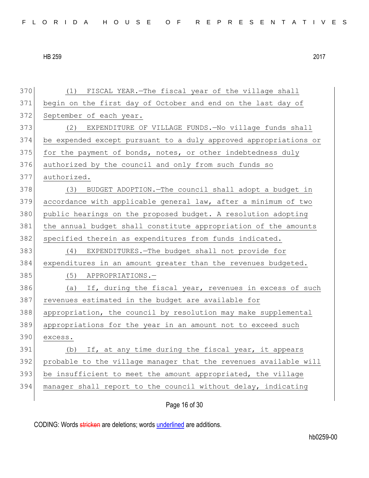(1) FISCAL YEAR.—The fiscal year of the village shall begin on the first day of October and end on the last day of 372 September of each year. (2) EXPENDITURE OF VILLAGE FUNDS.—No village funds shall be expended except pursuant to a duly approved appropriations or for the payment of bonds, notes, or other indebtedness duly authorized by the council and only from such funds so authorized. 378 (3) BUDGET ADOPTION. The council shall adopt a budget in accordance with applicable general law, after a minimum of two public hearings on the proposed budget. A resolution adopting the annual budget shall constitute appropriation of the amounts 382 specified therein as expenditures from funds indicated. (4) EXPENDITURES.—The budget shall not provide for 384 expenditures in an amount greater than the revenues budgeted. 385 (5) APPROPRIATIONS. 386 (a) If, during the fiscal year, revenues in excess of such 387 revenues estimated in the budget are available for appropriation, the council by resolution may make supplemental appropriations for the year in an amount not to exceed such 390 excess. (b) If, at any time during the fiscal year, it appears probable to the village manager that the revenues available will be insufficient to meet the amount appropriated, the village manager shall report to the council without delay, indicating

Page 16 of 30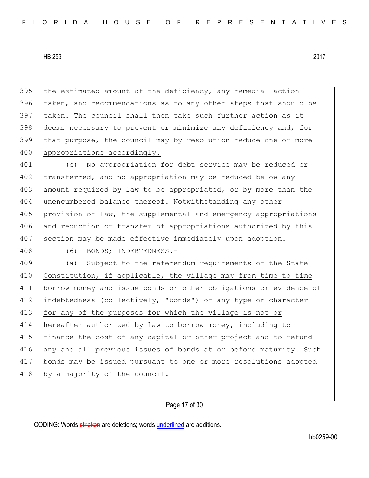395 the estimated amount of the deficiency, any remedial action 396 taken, and recommendations as to any other steps that should be 397 taken. The council shall then take such further action as it 398 deems necessary to prevent or minimize any deficiency and, for 399 that purpose, the council may by resolution reduce one or more 400 appropriations accordingly. 401 (c) No appropriation for debt service may be reduced or 402 transferred, and no appropriation may be reduced below any 403 amount required by law to be appropriated, or by more than the 404 unencumbered balance thereof. Notwithstanding any other 405 provision of law, the supplemental and emergency appropriations 406 and reduction or transfer of appropriations authorized by this 407 section may be made effective immediately upon adoption. 408 (6) BONDS; INDEBTEDNESS.-409 (a) Subject to the referendum requirements of the State 410 Constitution, if applicable, the village may from time to time 411 borrow money and issue bonds or other obligations or evidence of 412 indebtedness (collectively, "bonds") of any type or character 413 for any of the purposes for which the village is not or 414 hereafter authorized by law to borrow money, including to 415 finance the cost of any capital or other project and to refund 416 any and all previous issues of bonds at or before maturity. Such 417 bonds may be issued pursuant to one or more resolutions adopted 418 by a majority of the council.

Page 17 of 30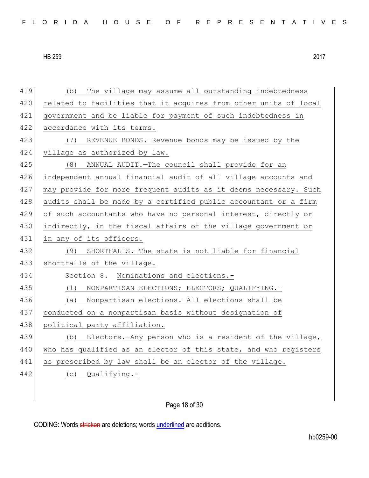419 (b) The village may assume all outstanding indebtedness 420 related to facilities that it acquires from other units of local 421 government and be liable for payment of such indebtedness in 422 accordance with its terms. 423 (7) REVENUE BONDS.—Revenue bonds may be issued by the 424 village as authorized by law. 425 (8) ANNUAL AUDIT.—The council shall provide for an 426 independent annual financial audit of all village accounts and 427 may provide for more frequent audits as it deems necessary. Such 428 audits shall be made by a certified public accountant or a firm 429 of such accountants who have no personal interest, directly or 430 indirectly, in the fiscal affairs of the village government or 431 in any of its officers. 432 (9) SHORTFALLS.—The state is not liable for financial 433 shortfalls of the village. 434 Section 8. Nominations and elections.-435 (1) NONPARTISAN ELECTIONS; ELECTORS; QUALIFYING. 436 (a) Nonpartisan elections.—All elections shall be 437 conducted on a nonpartisan basis without designation of 438 political party affiliation. 439 (b) Electors.-Any person who is a resident of the village, 440 who has qualified as an elector of this state, and who registers 441 as prescribed by law shall be an elector of the village. 442 (c) Qualifying.-

Page 18 of 30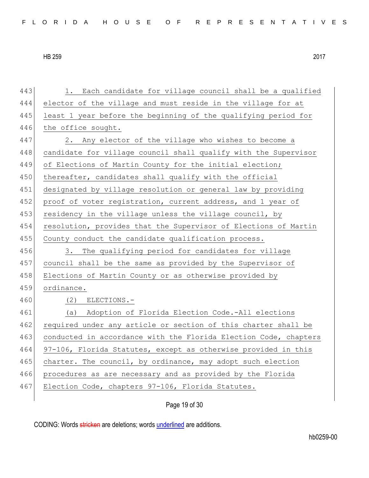443 1. Each candidate for village council shall be a qualified 444 elector of the village and must reside in the village for at 445 least 1 year before the beginning of the qualifying period for 446 the office sought. 447 2. Any elector of the village who wishes to become a 448 candidate for village council shall qualify with the Supervisor 449 of Elections of Martin County for the initial election; 450 thereafter, candidates shall qualify with the official 451 designated by village resolution or general law by providing 452 proof of voter registration, current address, and 1 year of 453 residency in the village unless the village council, by 454 resolution, provides that the Supervisor of Elections of Martin 455 County conduct the candidate qualification process. 456 3. The qualifying period for candidates for village 457 council shall be the same as provided by the Supervisor of 458 Elections of Martin County or as otherwise provided by 459 ordinance. 460 (2) ELECTIONS.- 461 (a) Adoption of Florida Election Code.-All elections 462 required under any article or section of this charter shall be 463 conducted in accordance with the Florida Election Code, chapters 464 97-106, Florida Statutes, except as otherwise provided in this 465 charter. The council, by ordinance, may adopt such election 466 procedures as are necessary and as provided by the Florida 467 Election Code, chapters 97-106, Florida Statutes.

Page 19 of 30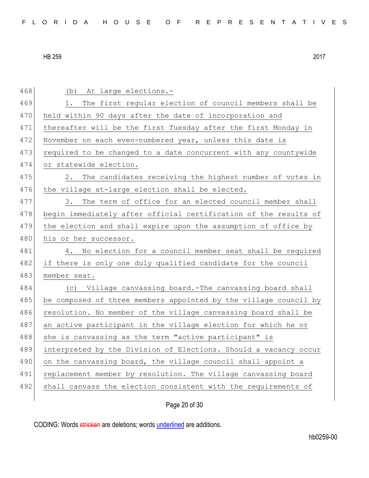| 468 | (b) At large elections.-                                         |
|-----|------------------------------------------------------------------|
| 469 | The first regular election of council members shall be<br>1.     |
| 470 | held within 90 days after the date of incorporation and          |
| 471 | thereafter will be the first Tuesday after the first Monday in   |
| 472 | November on each even-numbered year, unless this date is         |
| 473 | required to be changed to a date concurrent with any countywide  |
| 474 | or statewide election.                                           |
| 475 | 2. The candidates receiving the highest number of votes in       |
| 476 | the village at-large election shall be elected.                  |
| 477 | The term of office for an elected council member shall<br>3.     |
| 478 | begin immediately after official certification of the results of |
| 479 | the election and shall expire upon the assumption of office by   |
| 480 | his or her successor.                                            |
| 481 | No election for a council member seat shall be required<br>4.    |
|     |                                                                  |
| 482 | if there is only one duly qualified candidate for the council    |
| 483 | member seat.                                                     |
| 484 | (c) Village canvassing board.-The canvassing board shall         |
| 485 | be composed of three members appointed by the village council by |
| 486 | resolution. No member of the village canvassing board shall be   |
| 487 | an active participant in the village election for which he or    |
| 488 | she is canvassing as the term "active participant" is            |
| 489 | interpreted by the Division of Elections. Should a vacancy occur |
| 490 | on the canvassing board, the village council shall appoint a     |
| 491 | replacement member by resolution. The village canvassing board   |
| 492 | shall canvass the election consistent with the requirements of   |

Page 20 of 30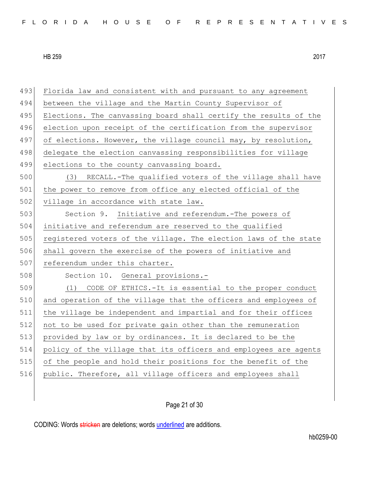| 493 | Florida law and consistent with and pursuant to any agreement    |
|-----|------------------------------------------------------------------|
| 494 | between the village and the Martin County Supervisor of          |
| 495 | Elections. The canvassing board shall certify the results of the |
| 496 | election upon receipt of the certification from the supervisor   |
| 497 | of elections. However, the village council may, by resolution,   |
| 498 | delegate the election canvassing responsibilities for village    |
| 499 | elections to the county canvassing board.                        |
| 500 | RECALL.-The qualified voters of the village shall have<br>(3)    |
| 501 | the power to remove from office any elected official of the      |
| 502 | village in accordance with state law.                            |
| 503 | Section 9. Initiative and referendum.-The powers of              |
| 504 | initiative and referendum are reserved to the qualified          |
| 505 | registered voters of the village. The election laws of the state |
| 506 | shall govern the exercise of the powers of initiative and        |
| 507 | referendum under this charter.                                   |
| 508 | Section 10. General provisions.-                                 |
| 509 | (1) CODE OF ETHICS.-It is essential to the proper conduct        |
| 510 | and operation of the village that the officers and employees of  |
| 511 | the village be independent and impartial and for their offices   |
| 512 | not to be used for private gain other than the remuneration      |
| 513 | provided by law or by ordinances. It is declared to be the       |
| 514 | policy of the village that its officers and employees are agents |
| 515 | of the people and hold their positions for the benefit of the    |
| 516 | public. Therefore, all village officers and employees shall      |
|     |                                                                  |
|     |                                                                  |

Page 21 of 30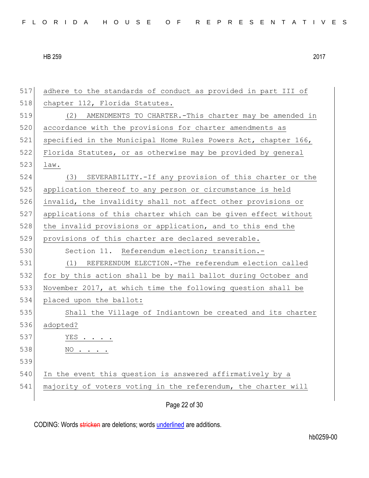| 517 | adhere to the standards of conduct as provided in part III of  |
|-----|----------------------------------------------------------------|
| 518 | chapter 112, Florida Statutes.                                 |
| 519 | AMENDMENTS TO CHARTER.-This charter may be amended in<br>(2)   |
| 520 | accordance with the provisions for charter amendments as       |
| 521 | specified in the Municipal Home Rules Powers Act, chapter 166, |
| 522 | Florida Statutes, or as otherwise may be provided by general   |
| 523 | law.                                                           |
| 524 | (3) SEVERABILITY.-If any provision of this charter or the      |
| 525 | application thereof to any person or circumstance is held      |
| 526 | invalid, the invalidity shall not affect other provisions or   |
| 527 | applications of this charter which can be given effect without |
| 528 | the invalid provisions or application, and to this end the     |
| 529 | provisions of this charter are declared severable.             |
| 530 | Section 11. Referendum election; transition.-                  |
| 531 | (1) REFERENDUM ELECTION.-The referendum election called        |
| 532 | for by this action shall be by mail ballot during October and  |
| 533 | November 2017, at which time the following question shall be   |
| 534 | placed upon the ballot:                                        |
| 535 | Shall the Village of Indiantown be created and its charter     |
| 536 | adopted?                                                       |
| 537 | YES . $\cdot$                                                  |
| 538 | $NO \cdot \cdot \cdot \cdot$                                   |
| 539 |                                                                |
| 540 | In the event this question is answered affirmatively by a      |
| 541 | majority of voters voting in the referendum, the charter will  |
|     | Page 22 of 30                                                  |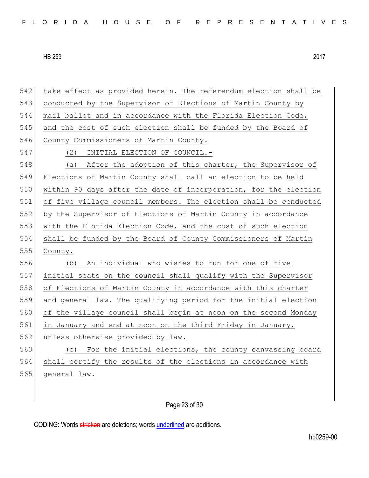| 542 | take effect as provided herein. The referendum election shall be |
|-----|------------------------------------------------------------------|
| 543 | conducted by the Supervisor of Elections of Martin County by     |
| 544 | mail ballot and in accordance with the Florida Election Code,    |
| 545 | and the cost of such election shall be funded by the Board of    |
| 546 | County Commissioners of Martin County.                           |
| 547 | INITIAL ELECTION OF COUNCIL.-<br>(2)                             |
| 548 | After the adoption of this charter, the Supervisor of<br>(a)     |
| 549 | Elections of Martin County shall call an election to be held     |
| 550 | within 90 days after the date of incorporation, for the election |
| 551 | of five village council members. The election shall be conducted |
| 552 | by the Supervisor of Elections of Martin County in accordance    |
| 553 | with the Florida Election Code, and the cost of such election    |
| 554 | shall be funded by the Board of County Commissioners of Martin   |
| 555 | County.                                                          |
| 556 | An individual who wishes to run for one of five<br>(b)           |
| 557 | initial seats on the council shall qualify with the Supervisor   |
| 558 | of Elections of Martin County in accordance with this charter    |
| 559 | and general law. The qualifying period for the initial election  |
| 560 | of the village council shall begin at noon on the second Monday  |
| 561 | in January and end at noon on the third Friday in January,       |
| 562 | unless otherwise provided by law.                                |
| 563 | For the initial elections, the county canvassing board<br>(C)    |
| 564 | shall certify the results of the elections in accordance with    |
| 565 | general law.                                                     |
|     |                                                                  |

Page 23 of 30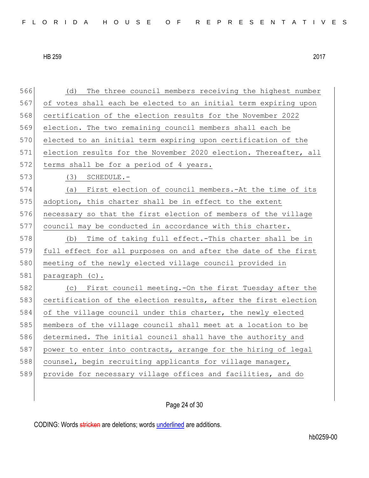566 (d) The three council members receiving the highest number 567 of votes shall each be elected to an initial term expiring upon 568 certification of the election results for the November 2022 569 election. The two remaining council members shall each be 570 elected to an initial term expiring upon certification of the 571 election results for the November 2020 election. Thereafter, all 572 terms shall be for a period of 4 years. 573 (3) SCHEDULE.-574 (a) First election of council members.-At the time of its 575 adoption, this charter shall be in effect to the extent 576 necessary so that the first election of members of the village 577 council may be conducted in accordance with this charter. 578 (b) Time of taking full effect.-This charter shall be in 579 full effect for all purposes on and after the date of the first 580 meeting of the newly elected village council provided in 581 paragraph (c). 582 (c) First council meeting.-On the first Tuesday after the 583 certification of the election results, after the first election 584 of the village council under this charter, the newly elected 585 members of the village council shall meet at a location to be 586 determined. The initial council shall have the authority and 587 power to enter into contracts, arrange for the hiring of legal 588 counsel, begin recruiting applicants for village manager, 589 provide for necessary village offices and facilities, and do

Page 24 of 30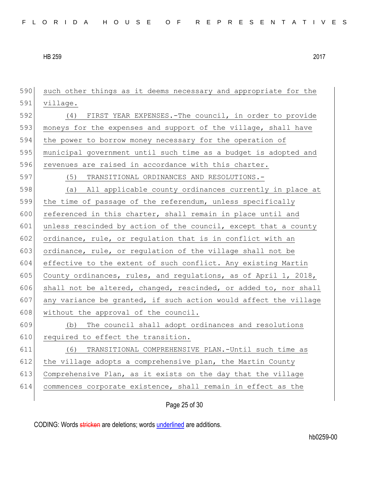590 such other things as it deems necessary and appropriate for the 591 village. 592 (4) FIRST YEAR EXPENSES.-The council, in order to provide 593 moneys for the expenses and support of the village, shall have 594 the power to borrow money necessary for the operation of 595 municipal government until such time as a budget is adopted and 596 revenues are raised in accordance with this charter. 597 (5) TRANSITIONAL ORDINANCES AND RESOLUTIONS.- 598 (a) All applicable county ordinances currently in place at 599 the time of passage of the referendum, unless specifically 600 referenced in this charter, shall remain in place until and 601 unless rescinded by action of the council, except that a county 602 ordinance, rule, or regulation that is in conflict with an 603 ordinance, rule, or regulation of the village shall not be 604 effective to the extent of such conflict. Any existing Martin 605 County ordinances, rules, and regulations, as of April 1, 2018, 606 shall not be altered, changed, rescinded, or added to, nor shall 607 any variance be granted, if such action would affect the village  $608$  without the approval of the council. 609 (b) The council shall adopt ordinances and resolutions 610 required to effect the transition. 611 (6) TRANSITIONAL COMPREHENSIVE PLAN.-Until such time as 612 the village adopts a comprehensive plan, the Martin County 613 Comprehensive Plan, as it exists on the day that the village 614 commences corporate existence, shall remain in effect as the

Page 25 of 30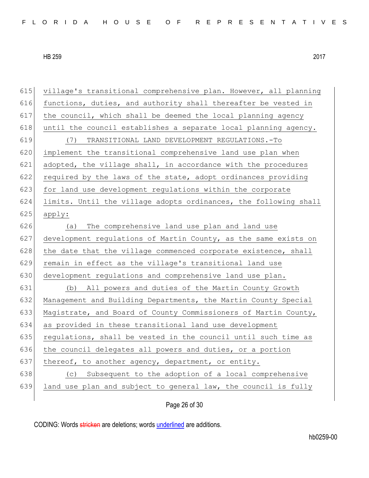| 615 | village's transitional comprehensive plan. However, all planning |
|-----|------------------------------------------------------------------|
| 616 | functions, duties, and authority shall thereafter be vested in   |
| 617 | the council, which shall be deemed the local planning agency     |
| 618 | until the council establishes a separate local planning agency.  |
| 619 | TRANSITIONAL LAND DEVELOPMENT REGULATIONS.-To<br>(7)             |
| 620 | implement the transitional comprehensive land use plan when      |
| 621 | adopted, the village shall, in accordance with the procedures    |
| 622 | required by the laws of the state, adopt ordinances providing    |
| 623 | for land use development regulations within the corporate        |
| 624 | limits. Until the village adopts ordinances, the following shall |
| 625 | apply:                                                           |
| 626 | The comprehensive land use plan and land use<br>(a)              |
| 627 | development regulations of Martin County, as the same exists on  |
| 628 | the date that the village commenced corporate existence, shall   |
| 629 | remain in effect as the village's transitional land use          |
| 630 | development regulations and comprehensive land use plan.         |
| 631 | All powers and duties of the Martin County Growth<br>(b)         |
| 632 | Management and Building Departments, the Martin County Special   |
| 633 | Magistrate, and Board of County Commissioners of Martin County,  |
| 634 | as provided in these transitional land use development           |
| 635 | regulations, shall be vested in the council until such time as   |
| 636 | the council delegates all powers and duties, or a portion        |
| 637 | thereof, to another agency, department, or entity.               |
| 638 | Subsequent to the adoption of a local comprehensive<br>(C)       |
| 639 | land use plan and subject to general law, the council is fully   |
|     |                                                                  |

Page 26 of 30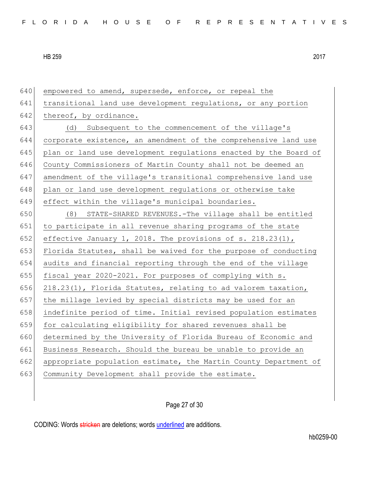| 640 | empowered to amend, supersede, enforce, or repeal the            |
|-----|------------------------------------------------------------------|
| 641 | transitional land use development regulations, or any portion    |
| 642 | thereof, by ordinance.                                           |
| 643 | (d) Subsequent to the commencement of the village's              |
| 644 | corporate existence, an amendment of the comprehensive land use  |
| 645 | plan or land use development regulations enacted by the Board of |
| 646 | County Commissioners of Martin County shall not be deemed an     |
| 647 | amendment of the village's transitional comprehensive land use   |
| 648 | plan or land use development regulations or otherwise take       |
| 649 | effect within the village's municipal boundaries.                |
| 650 | STATE-SHARED REVENUES.-The village shall be entitled<br>(8)      |
| 651 | to participate in all revenue sharing programs of the state      |
| 652 | effective January 1, 2018. The provisions of s. $218.23(1)$ ,    |
| 653 | Florida Statutes, shall be waived for the purpose of conducting  |
| 654 | audits and financial reporting through the end of the village    |
| 655 | fiscal year 2020-2021. For purposes of complying with s.         |
| 656 | 218.23(1), Florida Statutes, relating to ad valorem taxation,    |
| 657 | the millage levied by special districts may be used for an       |
| 658 | indefinite period of time. Initial revised population estimates  |
| 659 | for calculating eligibility for shared revenues shall be         |
| 660 | determined by the University of Florida Bureau of Economic and   |
| 661 | Business Research. Should the bureau be unable to provide an     |
| 662 | appropriate population estimate, the Martin County Department of |
| 663 | Community Development shall provide the estimate.                |
|     |                                                                  |

Page 27 of 30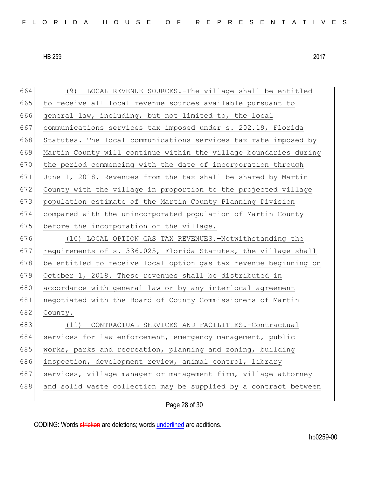664 (9) LOCAL REVENUE SOURCES.-The village shall be entitled 665 to receive all local revenue sources available pursuant to 666 general law, including, but not limited to, the local 667 communications services tax imposed under s. 202.19, Florida 668 Statutes. The local communications services tax rate imposed by 669 Martin County will continue within the village boundaries during 670 the period commencing with the date of incorporation through 671 June 1, 2018. Revenues from the tax shall be shared by Martin 672 County with the village in proportion to the projected village 673 population estimate of the Martin County Planning Division 674 compared with the unincorporated population of Martin County 675 before the incorporation of the village. 676 (10) LOCAL OPTION GAS TAX REVENUES.—Notwithstanding the 677 requirements of s. 336.025, Florida Statutes, the village shall 678 be entitled to receive local option gas tax revenue beginning on 679 October 1, 2018. These revenues shall be distributed in 680 accordance with general law or by any interlocal agreement 681 negotiated with the Board of County Commissioners of Martin 682 County. 683 (11) CONTRACTUAL SERVICES AND FACILITIES.-Contractual 684 services for law enforcement, emergency management, public 685 works, parks and recreation, planning and zoning, building 686 inspection, development review, animal control, library 687 services, village manager or management firm, village attorney 688 and solid waste collection may be supplied by a contract between

Page 28 of 30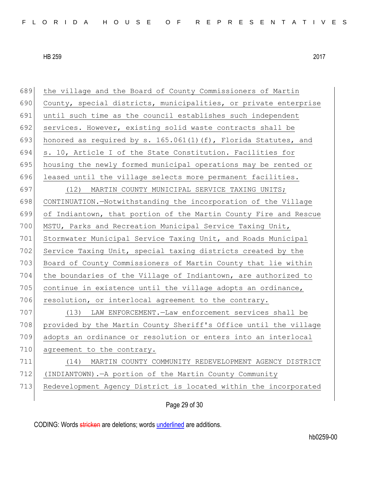| 689 | the village and the Board of County Commissioners of Martin        |
|-----|--------------------------------------------------------------------|
| 690 | County, special districts, municipalities, or private enterprise   |
| 691 | until such time as the council establishes such independent        |
| 692 | services. However, existing solid waste contracts shall be         |
| 693 | honored as required by s. $165.061(1) (f)$ , Florida Statutes, and |
| 694 | s. 10, Article I of the State Constitution. Facilities for         |
| 695 | housing the newly formed municipal operations may be rented or     |
| 696 | leased until the village selects more permanent facilities.        |
| 697 | (12) MARTIN COUNTY MUNICIPAL SERVICE TAXING UNITS;                 |
| 698 | CONTINUATION.-Notwithstanding the incorporation of the Village     |
| 699 | of Indiantown, that portion of the Martin County Fire and Rescue   |
| 700 | MSTU, Parks and Recreation Municipal Service Taxing Unit,          |
| 701 | Stormwater Municipal Service Taxing Unit, and Roads Municipal      |
| 702 | Service Taxing Unit, special taxing districts created by the       |
| 703 | Board of County Commissioners of Martin County that lie within     |
| 704 | the boundaries of the Village of Indiantown, are authorized to     |
| 705 | continue in existence until the village adopts an ordinance,       |
| 706 | resolution, or interlocal agreement to the contrary.               |
| 707 | (13) LAW ENFORCEMENT. - Law enforcement services shall be          |
| 708 | provided by the Martin County Sheriff's Office until the village   |
| 709 | adopts an ordinance or resolution or enters into an interlocal     |
| 710 | agreement to the contrary.                                         |
| 711 | MARTIN COUNTY COMMUNITY REDEVELOPMENT AGENCY DISTRICT<br>(14)      |
| 712 | (INDIANTOWN). - A portion of the Martin County Community           |
| 713 | Redevelopment Agency District is located within the incorporated   |
|     | Page 29 of 30                                                      |